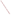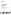# **Environmental Technology Verification Program Advanced Monitoring Systems Center**

Test/QA Plan for Verification of Mobile **Mass Spectrometers** 

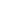# **TEST/QA PLAN**

for

# Verification of Mobile Mass Spectrometers

**July 20, 2005**

**Prepared by**

**Battelle 505 King Avenue Columbus, OH 43201-2693**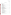Mobile Mass Spectrometers Test/QA Plan Page 2 of 42 Version 1 July 20, 2005

# **TABLE OF CONTENTS**

#### Section Page

| $\mathbf{A}$   | PROJECT MANAGEMENT                                   |
|----------------|------------------------------------------------------|
| A <sub>1</sub> |                                                      |
| A2             |                                                      |
| A <sub>3</sub> |                                                      |
| A <sub>4</sub> |                                                      |
| A <sub>5</sub> |                                                      |
| A <sub>6</sub> |                                                      |
| A7             |                                                      |
| A <sub>8</sub> |                                                      |
| A <sub>9</sub> |                                                      |
|                |                                                      |
| B              | MEASUREMENT AND DATA ACQUISITION                     |
| B1             |                                                      |
| B <sub>2</sub> |                                                      |
| B <sub>3</sub> |                                                      |
| B <sub>4</sub> |                                                      |
| B <sub>5</sub> |                                                      |
| <b>B6</b>      |                                                      |
| B7             |                                                      |
| <b>B8</b>      |                                                      |
| <b>B9</b>      |                                                      |
| <b>B10</b>     |                                                      |
| $\mathcal{C}$  | ASSESSMENT AND OVERSIGHT                             |
| C1             |                                                      |
| C <sub>2</sub> |                                                      |
|                |                                                      |
| D              | DATA VALIDATION AND USABILITY                        |
| D <sub>1</sub> |                                                      |
| D2             |                                                      |
| D <sub>3</sub> |                                                      |
|                |                                                      |
| E              | <b>HEALTH AND SAFETY</b>                             |
| E1             |                                                      |
| E2             |                                                      |
| E <sub>3</sub> |                                                      |
| E4             | Decontamination of Instruments After CWA Testing  40 |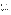| <b>Mobile Mass Spectrometers</b>                                                            |
|---------------------------------------------------------------------------------------------|
| Test/QA Plan                                                                                |
| Page 3 of 42                                                                                |
| Version 1                                                                                   |
| July 20, 2005                                                                               |
| <b>Section</b><br>Page                                                                      |
| $\boldsymbol{F}$                                                                            |
| <b>List of Figures</b><br>Page                                                              |
| Figure 1                                                                                    |
|                                                                                             |
| <b>List of Tables</b>                                                                       |
|                                                                                             |
| Table 2. Target Contaminants and Concentrations of Interest for Verification Test of Mobile |
|                                                                                             |
| Table 4. Performance Test Standard Solution Concentrations for Target Analytes 20           |
|                                                                                             |
|                                                                                             |
| Table 7. Summary of Test Samples for ETV Test of Mobile Mass Spectrometers  25              |
|                                                                                             |
|                                                                                             |
|                                                                                             |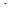Mobile Mass Spectrometers Test/QA Plan Page 4 of 42 Version 1 July 20, 2005

# ETV Advanced Monitoring Systems Center

Test/QA Plan for Verification of Mobile Mass Spectrometers

Version 1

July 20, 2005

# VENDOR ACCEPTANCE:

Name \_\_\_\_\_\_\_\_\_\_\_\_\_\_\_\_\_\_\_\_\_\_\_\_\_\_\_\_\_\_\_\_\_\_

Company \_\_\_\_\_\_\_\_\_\_\_\_\_\_\_\_\_\_\_\_\_\_\_\_\_\_\_\_\_\_\_

Date \_\_\_\_\_\_\_\_\_\_\_\_\_\_\_\_\_\_\_\_\_\_\_\_\_\_\_\_\_\_\_\_\_\_\_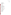Mobile Mass Spectrometers Test/QA Plan Page 5 of 42 Version 1 July 20, 2005

#### **A3 DISTRIBUTION LIST**

Mobile Mass Spectrometer Vendor Mr. John Hintenach Constellation Technology Corporation 7887 Bryan Dairy Road Suite 100 Largo, FL 33777-1498

Ms. Carol Thielen INFICON Two Technology Place E. Syracuse, NY 13057

EPA ETV AMS Center Management Robert G. Fuerst U.S. Environmental Protection Agency National Exposure Research Laboratory Environmental Technology Verification Program Advanced Monitoring Systems Center 4930 Page Road Research Triangle Park, NC 27703-8052

Ms. Elizabeth A. Betz U.S. Environmental Protection Agency-HEASD National Exposure Research Laboratory E205-01 USEPA Mailroom Research Triangle Park, NC 27711

Verification Testing Organization: Ms. Amy Dindal Dr. Christropher Fricker Mr. Raj Mangaraj Ms. Karen Riggs Mr. Zachary Willenberg Battelle 505 King Ave. Columbus, OH 43201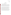Mobile Mass Spectrometers Test/QA Plan Page 6 of 42 Version 1 July 20, 2005

#### **SECTION A**

#### **PROJECT MANAGEMENT**

#### **A4 VERIFICATION TEST ORGANIZATION**

The verification test will be conducted under the auspices of the U.S. Environmental Protection Agency (EPA) through the Environmental Technology Verification (ETV) Program. It will be performed by Battelle, which is managing the ETV Advanced Monitoring Systems (AMS) Center through a cooperative agreement with EPA. The scope of the AMS Center covers verification of monitoring technologies for contaminants and natural species in air, water, and soil.

The daily operations of this verification test will be coordinated and supervised by Battelle personnel, with the participation of the vendors who will provide their mobile mass spectrometers for verification testing. The testing will be conducted at Battelle in Columbus and West Jefferson, Ohio. Staff from Battelle will oversee operation of the mobile mass spectrometers during periods of routine operation. Each vendor will provide one mobile mass spectrometer and training to Battelle staff on the use of the instrument. After the vendor is sufficiently satisfied in the training of Battelle staff, the vendor will sign a consent form. Quality assurance (QA) oversight will be provided by the Battelle Quality Manager. The organization chart in Figure 1 identifies the responsibilities of the organizations and individuals associated with the verification test. Roles and responsibilities are defined in the subsequent section.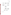Mobile Mass Spectrometers Test/QA Plan Page 7 of 42 Version 1 July 20, 2005



**Figure 1. Organization Chart**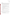#### **A4.1 Battelle**

Mr. Raj Mangaraj is the AMS Center's Verification Test Coordinator for this test. In this role, Mr. Mangaraj will have overall responsibility for ensuring that the technical, schedule, and cost goals established for the verification test are met. Specifically, Mr. Mangaraj will:

- Assemble a team of qualified technical staff to conduct the verification test.
- Direct the team in performing the verification test in accordance with this test/QA plan.
- Ensure that all quality procedures specified in the test/QA plan and in the AMS Center Quality Management Plan<sup>1</sup> (QMP) are followed.
- Prepare the draft test/QA plan, verification reports, and verification statements.
- Revise the draft test/QA plan, verification reports, and verification statements in response to reviewers' comments.
- Respond to any issues raised in assessment reports and audits, including instituting corrective action as necessary.
- Serve as the primary point of contact for vendor representatives.
- Coordinate distribution of final test/QA plan, verification reports, and verification statements.
- Establish a budget for the verification test and manage staff to ensure the budget is not exceeded.
- Ensure that confidentiality of sensitive vendor information is maintained.

Ms. Amy Dindal is the Verification Testing Leader for the AMS Center. As such, Ms. Dindal will provide technical guidance and oversee the various stages of verification testing. She will:

- Support Mr. Mangaraj in preparing the test/QA plan and organizing the testing.
- Review the draft and final test/QA plan.
- Review the draft and final verification reports and verification statements.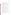Ms. Karen Riggs is Battelle's manager for the AMS Center. Ms. Riggs will

- Review the draft and final test/QA plan.
- Review the draft and final verification reports and verification statements.
- Ensure that necessary Battelle resources, including staff and facilities, are committed to the verification test.
- Ensure that confidentiality of sensitive vendor information is maintained.
- Support Mr. Mangaraj in responding to any issues raised in assessment reports and audits.
- Maintain communication with EPA's technical and quality managers.
- Issue a stop work order if Battelle or EPA QA staff discovers adverse findings that will compromise test results.

Battelle Technical Staff will support Mr. Mangaraj in planning and conducting the verification test. The responsibilities of the technical staff will be to:

- C Become familiar with the operation and maintenance of the mobile mass spectrometers through instruction by the vendors.
- C Assure that test procedures and data acquisition are conducted according to this test/QA plan.
- C Assure that the data from each mobile mass spectrometer are recorded and transmitted to the Verification Test Coordinator.
- C Provide input on test procedures, instrument operation, and maintenance for the draft verification reports.
- C Perform statistical calculations specified in this test/QA plan.
- C Provide results of statistical calculations and associated discussion for the verification reports as needed.
- C Support Mr. Mangaraj in responding to any issues raised in assessment reports and audits related to statistics and data reduction as needed.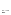Mr. Zachary Willenberg is Battelle's Quality Manager for the AMS Center. Mr. Willenberg or his designee will:

- Review the draft and final test/QA plan.
- Conduct a technical systems audit at least once during the verification test, or designate other QA staff to conduct the audit.
- Audit at least 10% of the verification data.
- Prepare and distribute an assessment report for each audit.
- Verify implementation of any necessary corrective action.
- Request that Battelle's AMS Center Manager issue a stop work order if audits indicate that data quality is being compromised.
- Provide a summary of the QA/QC activities and results for the verification reports.
- Review the draft and final verification reports and verification statements.
- Assume overall responsibility for ensuring that the test/QA plan is followed.

# **A4.2 Mobile Mass Spectrometers Vendors**

The responsibilities of the mobile mass spectrometer vendors are as follows:

- Review and provide comments on the draft test/QA plan.
- Accept (by signature of a company representative) the EPA-approved test/QA plan prior to test initiation (see page 4).
- Provide one mobile mass spectrometer for evaluation during the verification test.
- Provide all other equipment/supplies/reagents/consumables needed to operate their mobile mass spectrometer for the duration of the verification test.
- Supply a representative to train Battelle staff on the mobile mass spectrometer so that they will be able to operate the technology during the verification test.
- Provide maintenance and repair support for their mobile mass spectrometers, on-site if necessary, throughout the duration of the verification test.
- Review and provide comments on the draft verification report and verification statement for their respective mobile mass spectrometers.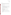# **A4.3 EPA**

EPA's responsibilities in the AMS Center are based on the requirements stated in the Environmental Technology Verification Program Quality Management Plan (EPA QMP).<sup>2</sup> The roles of specific EPA staff are as follows:

Ms. Elizabeth Betz is EPA's AMS Center Quality Manager. For the verification test, Ms. Betz will:

- C Review the draft test/QA plan.
- C Perform at her option one external technical system audit during the verification test. Notify the EPA AMS Center Manager of the need for a stop work order if external audit indicates that data quality is being compromised.
- C Prepare and distribute an assessment report summarizing results of an external audit.
- C Review draft verification reports and verification statements.

Mr. Robert Fuerst is EPA's manager for the AMS Center. Mr. Fuerst will:

- C Review the draft test/QA plan.
- C Approve the final test/QA plan.
- C Review the draft verification reports and verification statements.
- C Oversee the EPA review process for the test/QA plan, verification reports and verification statements.
- C Coordinate the submission of verification reports and verification statements for final EPA approval.
- C Notify the Battelle AMS Center Manager if EPA audits indicate a stop work order is necessary.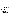#### **A4.4 Subcontract Laboratory**

Any laboratory that is providing reference measurements will follow the requirements of reference methods as well as the QC requirements as stated in this test/QA plan. The responsibilities of this laboratory will include:

- C Proper receipt and handling of sample material.
- C Accurate measurement of target analyte.
- C Submission of data and any supporting documents.
- C Analysis and reporting of performance evaluation (PE) samples.
- C Participation in audit by Battelle AMS Quality Manager or EPA AMS Quality Manager.

#### **A5 BACKGROUND**

The ETV Program's AMS Center conducts third-party performance testing of commercially available technologies that detect or monitor natural species or contaminants in air, water, and soil. Stakeholder committees of buyers and users of such technologies recommend technology categories, and technologies within those categories, as priorities for testing. Mobile mass spectrometers were identified as a priority water security technology category through the AMS Center stakeholder process. Mobile mass spectrometers are a subset of mass spectrometers that include portable systems (i.e., those able to carried by the user) and field-transportable systems (i.e., systems modified specifically so that they may be able to be taken outside of a fixed laboratory setting).

#### **A6 VERIFICATION TEST DESCRIPTION AND SCHEDULE**

#### **A6.1 Summary of Technology Category**

The technology category to be tested in this verification test is mobile mass spectrometers to be used in support of drinking water security. The performance of the mobile mass spectrometers will be based on the analysis of target contaminants at levels of concern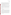Mobile Mass Spectrometers Test/QA Plan Page 13 of 42 Version 1 July 20, 2005

using lethal dose  $(LD_{50})$  or maximum contaminant level (MCL) concentrations. Many volatile and semivolatile contaminants in water are typically detected using bench-top mass spectrometers in a traditional laboratory setting. However, the instruments to be verified in this test are portable units designed to be taken outside of the typical laboratory setting for "field" analysis. This portability offers an advantage for first-responders and other users that maybe seeking to obtain chemical information when time, sampling and other limitations require analysis outside of the typical laboratory setting.

Typically, the mobile mass spectrometers are composed of four components: a separation technique, an ion source, a means of ion separation or filtering, and an ion detector. There are a number of different means of ion separation including time of flight, ion trap, quadrupole mass filter, and quadrupole ion trap. The instruments that will be evaluated in this verification test include gas chromatography (GC) as a separation technique prior to detection by the mass spectrometer.

In performing the verification test, Battelle will follow the technical and QA procedures specified in this test/QA plan and will comply with the data quality requirements in the AMS Center QMP<sup>1</sup>.

#### **A6.2 Verification Schedule**

Table 1 shows the planned schedule of activities in testing and data analysis/reporting in this verification test. As shown in Table 1, the test of mobile mass spectrometers is planned to begin in August 2005. The test will be conducted in three parts. Volatile organic contaminants and pesticides will be tested first. The second part will repeat a portion of the verification test in a field setting. For this test, a field setting will be defined as a setting outside of a laboratory. Finally, testing using dilute solutions of chemical warfare agent (CWA) will be conducted in a chemical surety facility. Following the completion of the testing effort, a separate verification report will be drafted for each mass spectrometer, reviewed, and submitted to EPA for final signature. Concurrent measurements will be conducted using laboratory reference methods where and when applicable.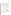Mobile Mass Spectrometers Test/QA Plan Page 14 of 42 Version 1 July 20, 2005

# **Table 1. Planned Verification Schedule (Dates Subject to Change)**

| <b>Month</b>          | <b>Test Activity</b>                                                                                                                                                                            |                                                                                                                                                                                                |  |  |
|-----------------------|-------------------------------------------------------------------------------------------------------------------------------------------------------------------------------------------------|------------------------------------------------------------------------------------------------------------------------------------------------------------------------------------------------|--|--|
| (2005)                | <b>Verification Activities</b>                                                                                                                                                                  | <b>Data Analysis and Reporting</b>                                                                                                                                                             |  |  |
| August                | Install mass spectrometers in<br>laboratory<br>Undergo training by vendors<br>Perform tests with volatile organic<br>contaminants (VOC) and pesticides<br>Submit samples for reference analysis | Begin preparation of report template<br>Compile data from VOC and pesticide testing<br>Review and summarize operator observations<br>Compile data packages for reference analyses              |  |  |
| September             | Repeat portion of testing in field<br>setting<br>Test with CWA<br>Submit samples for reference analysis                                                                                         | Compile data from field testing<br>Compile data fromCWA testing<br>Complete summary of operator observations<br>Finalize results for reference analyses<br>Complete common sections of reports |  |  |
| October               | Decontamination of mobile mass<br>spectrometers<br>Return instruments to vendors as<br>soon as items are cleared for release                                                                    | Complete report sections on reference method<br>comparisons<br>compose draft reports                                                                                                           |  |  |
| November/<br>December |                                                                                                                                                                                                 | Internal review of draft reports<br>Vendor review of draft reports<br>Revise draft reports<br>Peer review of draft reports                                                                     |  |  |
| January/<br>February  |                                                                                                                                                                                                 | Revise draft reports<br>Submit final reports for EPA approval                                                                                                                                  |  |  |

The test procedures are described in Section B of this test/QA plan. The mobile mass spectrometers will be calibrated per vendors' instructions. The calibrated mobile mass spectrometers will subsequently be challenged with performance testing (PT) standard solutions and various fortified water samples.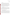#### **A6.3 Test Facility**

The verification test will take place at Battelle. A portion of the test will also be conducted in a field (non-laboratory) environment. Testing with CWA will take place at the Hazardous Materials Research Center (HMRC). The HMRC, located in the North area of Battelle's West Jefferson Campus, is an ISO 9001 certified facility. The HMRC and its personnel have the demonstrated capability for storing and safely handling CWA, Class A poisons, toxins, agent simulants and other hazardous materials. The HMRC laboratories meet or exceed all requirements for the safe use, storage, decontamination, and accountability of CWA as defined by Army Regulation 50-6 (Chemical Surety)<sup>3</sup>. Operations within the laboratories always are conducted in accordance with Battelle's Chemical Safety Information Program<sup>4</sup>.

#### **A7 QUALITY OBJECTIVES**

This verification test will evaluate the performance of mobile mass spectrometers for identification and quantification of target contaminants in water. This evaluation will include comparisons to reference methods when available and where applicable. The Battelle Quality Manager or his designee will perform a technical systems audit (TSA) at least once during this verification test and will audit at least 10% of the verification data acquired. The EPA Quality Manager also may conduct an independent TSA, at her discretion.

#### **A8 SPECIAL TRAINING/CERTIFICATION**

Documentation of training related to technology testing, field testing, data analysis, and reporting is maintained for all Battelle technical staff in training files at their respective locations. For this test, it should be noted that an operator or operators with prior GC/MS experience will be used. CWA testing will be conducted by staff with the appropriate training, as outlined in HMRC Chemical Hygiene Plan<sup>5</sup>. The Battelle Quality Manager will verify the presence of appropriate training records prior to the start of testing. The technology vendor will be required to train those staff prior to the start of testing. Battelle will document this training with a vendor training form,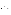signed by the vendor, that states which specific Battelle staff have been trained on the mobile mass spectrometer.

#### **A9 DOCUMENTATION AND RECORDS**

The records for this verification test will be contained in the test/QA plan, chain-ofcustody forms, laboratory record books (LRB), data collection forms, electronic files (both raw data and spreadsheets), and the final verification report. All of these records will be maintained in the Verification Test Coordinator's office during the test and will be transferred to permanent storage at Battelle's Records Management Office at the conclusion of the verification test. All Battelle LRBs are stored indefinitely, either by the Verification Test Coordinator or Battelle's Records Management Office. EPA will be notified before disposal of any files. Section B10 further details the data recording practices and responsibilities.

All written records must be in ink. Any corrections to notebook entries, or changes in recorded data, must be made with a single line through the original entry. Explanations will accompany all non-obvious corrections. The correction is then initialed and dated by the person making the correction. In all cases, strict confidentiality of data from each vendor's instrument, and strict separation of data from different instruments, will be maintained. Separate files (including manual records, printouts, and/or electronic data files) will be kept for each instrument.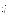Mobile Mass Spectrometers Test/QA Plan Page 17 of 42 Version 1 July 20, 2005

#### **SECTION B**

#### **MEASUREMENT AND DATA ACQUISITION**

#### **B1 EXPERIMENTAL DESIGN**

This test will specifically address the verification of mobile mass spectrometers for identification and quantification of target contaminants in water (listed in Table 2) by evaluating the accuracy, precision, linearity, sensitivity, and stability of each instrument in the analysis of various water matrices. This target analyte list represents the maximum number of contaminants to be tested and each technology will only be tested on target contaminants specified by the vendor. The mobile mass spectrometers will be evaluated for the performance parameters summarized in Table 3 and discussed in detail in the following sections.

# **Table 2. Target Contaminants and Concentrations of Interest for Verification Test of Mobile Mass Spectrometers**

| Contaminant                         | CAS#       | $LD_{50}$ (mg/L)<br>Corresponding<br>Concentration <sup>a</sup> | MCL <sup>d</sup> (mg/L) |
|-------------------------------------|------------|-----------------------------------------------------------------|-------------------------|
| $\overline{\mathsf{Nx}}_\mathsf{p}$ | 50782-69-9 | 2.1                                                             | n/a                     |
| $GB$ (sarin) $b$                    | 107-44-8   | 20                                                              | n/a                     |
| GD (soman) <sup>b</sup>             | 96-64-0    | 1.4                                                             | n/a                     |
| dicrotophos <sup>c</sup>            | 141-66-2   | 1400                                                            | n/a                     |
| $2,4-D$                             | 94-75-7    | n/a                                                             | 0.07                    |
| benzene                             | 71-43-2    | n/a                                                             | 0.005                   |
| toluene                             | 108-88-3   | n/a                                                             |                         |
| ethylbenzene                        | 100-41-4   | n/a                                                             | 0.7                     |
| xylenes (total)                     | 1330-20-7  | n/a                                                             | 10                      |

 $\rm a^{2}$  LD<sub>50</sub> concentrations in water determined using 70 kg individual consuming 250 mL of water

 $b$ LD<sub>50</sub> data obtained from USACHPPM MEG, Short-term Water-MEGs (these are cited in the notes for each chemical in Appendix D)

 ${}^cLD_{50}$  data obtained from Gosselin, R.E., et al., Clinical Toxicology of Commercial Products. 5<sup>th</sup> ed. Baltimore: Williams and Wilkins, 1984., p. II-291

<sup>d</sup> MCLs specified by EPA National Primary Drinking Water Regulation, 40 CFR Š141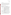#### **B1.1 Test Procedures**

The following sections describe the test procedures that will be used to evaluate each of the mobile mass spectrometer performance parameters listed in Table 3. Performance testing will be conducted on each instrument separately, and will follow the procedures specified by the vendor including analysis of quality control samples.The vendor will define all operational conditions including (but not limited to) chromatographic column, selected ions or mass scanning range, sample preparation method, injection technique, and temperature program.

|  |  |  | <b>Table 3. Verification Test Performance Parameters</b> |  |
|--|--|--|----------------------------------------------------------|--|
|--|--|--|----------------------------------------------------------|--|

| <b>Performance Parameter</b>                        | <b>Method of Evaluation</b>                                                                                                                                                                                                                                    |  |
|-----------------------------------------------------|----------------------------------------------------------------------------------------------------------------------------------------------------------------------------------------------------------------------------------------------------------------|--|
| Accuracy                                            | Comparison to nominal concentration of spiked target contaminants<br>(prepared in ASTM Type II water) as determined by reference method                                                                                                                        |  |
| Precision                                           | Determined by relative standard deviation of three replicate measurements                                                                                                                                                                                      |  |
| Linearity                                           | Determined by linear regression of performance test standard solutions                                                                                                                                                                                         |  |
| Sensitivity                                         | Determined by ability to detect target contaminants at and below<br>concentrations of interest (e.g., $LD_{50}$ , MCL); 10x serial dilutions on PT<br>standards will be performed until no change in instrument response is<br>observed for target contaminant |  |
| <b>Instrument Stability</b>                         | Determined by comparing result of PT standard analyzed at end of the<br>analytical sequence (defined as the entire list of samples to be analyzed on<br>each day of testing) to that of PT standard analyzed at beginning of<br>analytical sequence            |  |
| Potential Matrix and<br><b>Interference Effects</b> | Evaluation of performance in various matrices and in the presence of<br>potential interferents                                                                                                                                                                 |  |
| <b>Field Portability</b>                            | user requirements; site requirements; test will include analysis of "blind"<br>samples                                                                                                                                                                         |  |
| <b>Operational Factors</b>                          | Operator observations, clarity of instruction manual, user-friendliness of<br>software, records of needed and performed maintenance, use of expendable<br>supplies, and sample throughput                                                                      |  |

Samples will be prepared daily from stock solutions to minimize loss of target contaminants due to hydrolysis. For PT standards, two separate aliquots will be produced in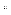Mobile Mass Spectrometers Test/QA Plan Page 19 of 42 Version 1 July 20, 2005

ASTM Type II water using the same procedure. One aliquot will be submitted for testing and the other aliquot will be submitted for reference measurement. Reference measurements will be conducted on performance test standards only. For CWA testing, a stock solution containing all of the three target contaminants (GB, GD, and VX) will be prepared in acetone. Stock solutions for the other contaminants will be similarly prepared in solvents that will minimize target contaminant degradation. All matrix samples will be dechlorinated and pH adjusted to pH 7 ( $\pm$  0.5) to minimize hydrolysis of CWA.

#### *B1.1.1 Accuracy, Precision, Linearity, Sensitivity, and Stability.*

Due to concerns regarding the stability of the target contaminants in water matrices, the evaluation of accuracy must be carefully approached so that degradation issues do not negatively impact the assessment of accuracy. As such, reference measurements will be conducted simultaneously or as close as possible to the measurements made with the mobile mass spectrometers. To verify the performance of the mobile mass spectrometers at the concentrations of interest for the target contaminants, PT standards will be prepared in ASTM Type II water. The target contaminant concentrations will be constructed to bracket concentrations of interest that are presented in Table 2. The concentrations of interest are calculated using  $LD_{50}$  values assuming a 70 kg individual consuming 250 mL of the contaminated water. When  $LD_{50}$  data are not available or feasible for testing, MCL, as defined by EPA National Primary Drinking Water Regulations, are used. See Table 4 for concentrations of the PT standards for the target analytes.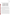| <b>Contaminant</b> | <b>PT Standard 1</b> | <b>PT Standard 2</b> | <b>PT Standard 3</b> |
|--------------------|----------------------|----------------------|----------------------|
| VX                 | $0.1$ mg/L           | 1 $mg/L$             | $10 \text{ mg/L}$    |
| GB (sarin)         | 1 $mg/L$             | $10 \text{ mg/L}$    | 100 mg/L             |
| GD (soman)         | $0.1$ mg/L           | 1 $mg/L$             | $10 \text{ mg/L}$    |
| dicrotophos        | $10 \text{ mg/L}$    | 100 mg/L             | 1000 mg/L            |
| $2,4-D$            | $0.001$ mg/L         | $0.010$ mg/L         | $0.100$ mg/L         |
| benzene            | 0.0001 mg/L          | $0.001$ mg/L         | $0.010$ mg/L         |
| toluene            | $0.1$ mg/L           | 1 $mg/L$             | $10 \text{ mg/L}$    |
| ethylbenzene       | $0.1$ mg/L           | 1 $mg/L$             | $10 \text{ mg/L}$    |
| xylenes (total)    | 1 mg/L               | $10 \text{ mg/L}$    | 100 mg/L             |

**Table 4. Performance Test Standard Solution Concentrations for Target Analytes**

Three replicate measurements will be made for each sample. Determination of accuracy of the PT standards will be based on agreement with reference measurements that will be performed concurrently with mobile mass spectrometer measurement. Since no reference measurements will be taken for the matrix and interferent-fortified samples, accuracy will be determined by comparison to PT standards. Quantitation of the matrix and interferent-fortified samples will be based on the calibration curve constructed using the theoretical concentrations of the spiked contaminants in the PT standards.

Relative standard deviation (RSD) of three replicate measurements of the PT standards will be determined to assess the precision of all mobile mass spectrometer measurements. Linearity will be determined by linear regression of the instrument response versus the theoretical target contaminant concentrations. This evaluation will not focus on determining instrumental detection limits since the purpose is to ascertain whether the mobile mass spectrometers are sensitive enough to measure the target contaminants at the concentration of interest in the various water matrices. Sensitivity will be assessed by the ability of the mass spectrometer to measure the target contaminant at and below the concentration of interest. Serial dilutions of 10x will be performed on the PT standard 1 until no change in instrument response for the target contaminant is observed. A PT standard will be repeated at the end of the analytical sequence to reflect the degree of calibration stability. Since benzene, toluene, ethylbenzene, and xylene (BTEX) will be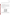tested prior to CWA testing, the testing will be able to differentiate between instrument stability and any parallel target contaminant degradation that may be suspected in the case of CWA in water.

#### *B1.1.2 Potential Matrix and Interference Effects*

To measure the potential matrix effects on the mobile mass spectrometer in selected "real world" applications, the mass spectrometers will be challenged by analyzing samples that are fortified with the target contaminant at the level of PT Standard 2 (as indicated in Table 4) in various matrices including regional drinking water (DW) samples, raw (untreated) surface water, a weakly buffered water sample, and a strongly buffered water sample as shown in Table 5. PT Standard 2 provides a convenient concentration that is at or below the concentration of interest for the most of the target contaminants.

#### **Table 5. Matrix and Potential Interferent Testing**

Drinking water samples will be collected from four geographically distributed municipal

| <b>Sample Type</b>         | <b>Spike Level</b> |
|----------------------------|--------------------|
| DW <sub>1</sub>            | PT standard 2      |
| DW <sub>2</sub>            | PT standard 2      |
| DW <sub>3</sub>            | PT standard 2      |
| DW4                        | PT standard 2      |
| <b>Raw Surface Water</b>   | PT standard 2      |
| <b>Weak Buffer Water</b>   | PT standard 2      |
| <b>Strong Buffer Water</b> | PT standard 2      |
| <b>THM Spiked Water</b>    | PT standard 2      |

sources to evaluate the performance of the mobile mass spectrometers with various sample matrices. These finished DW samples will vary in their source, treatment, and disinfection process. All samples will have undergone either chlorination or chloramination disinfection prior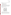to receipt. Samples will be collected from water utility systems with the following treatment and source characteristics:

- C Chlorinated filtered surface water source (DW1)
- C Chlorinated unfiltered surface water source (DW2)
- C Chlorinated groundwater source (DW3)
- C Chloraminated filtered surface water source (DW4)

All samples will be collected in pre-cleaned high density polyethylene (HDPE) containers. After sample collection, to characterize the DW matrix, an aliquot of each DW sample will be sent to a subcontract laboratory to determine the following water quality parameters: concentration of trihalomethanes (THMs), haloacetic acids, total organic halides, pH, conductivity, alkalinity, turbidity, organic carbon, and hardness (see Table 6).

| Parameter <sup>a</sup> | <b>Method</b>          |
|------------------------|------------------------|
| Turbidity              | EPA 180.1 <sup>5</sup> |
| Organic carbon         | SM 5310 <sup>6</sup>   |
| Specific conductivity  | SM 2510 <sup>6</sup>   |
| Alkalinity             | SM 2320 <sup>6</sup>   |
| pH                     | EPA 150.1 <sup>7</sup> |
| Hardness               | EPA 130.2 <sup>7</sup> |
| Total organic halides  | SM 5320 <sup>6</sup>   |
| Trihalomethanes        | EPA 524.2 $8$          |
| Haloacetic acids       | EPA $552.2^9$          |

#### **Table 6. Physio-Chemical Characterization of Drinking Water**

(a) Physio-chemical DW characterization to be performed by the subcontract laboratory

Because free chlorine will degrade many of the contaminants and interferents during storage, the sample will be immediately dechlorinated with sodium thiosulfate pentahydrate (or other dechlorination reagents as per vendor protocol). The dechlorination of the DW will be qualitatively confirmed by adding a diethyl-p-phenylene diamine (DPD) tablet to an aliquot of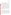DW. If the water does not turn pink, the dechlorination process will be determined to be successful. If the water does turn pink, an additional dechlorinating reagent will be added and the dechlorination confirmation procedure will be repeated.

The effect of ionic strength on the results of the mobile mass spectrometers will be examined. Since natural water salt type and concentration can vary greatly by location, two samples will be fortified at the level of PT standard 2 in 442 Natural Water<sup>™</sup> Standard Solution. This solution, manufactured by Myron L Instruments, is produced by adding 40% sodium sulfate, 40% sodium bicarbonate, 20% sodium chloride in deionized water. Two 442 solutions, 442-30 and 442-3000, will be selected to represent 21.8 ppm NaCl and 2027 ppm NaCl, respectively.

The mobile mass spectrometers will also be challenged by the presence of potential interferents. THMs are typically observed at low-levels in drinking water as by-products of the disinfection process. Four THMs (chloroform, bromoform, bromodichloromethane, and dibromochloromethane) will be spiked into the PT standard 2 at 80 ppb total, which is the MCL for THMs as defined in the EPA National Primary Drinking Water Regulations, 40 CRF Š141. Chloroform, bromoform, bromodichloromethane, dibromochloromethane will be spiked so that the concentration in solution will be 50, 5, 15, and 10 ppb, respectively, to represent typical ratios of THMs in finished drinking water.

#### *B1.1.3 Field Portability*

For this verification test, field portability is defined as the ability for a user to take and operate the mass spectrometer in a non-laboratory environment for sample analysis. Observations centrally related to field portability will be observed and reported. These considerations will include such items as weight and dimensions of unit, impact on user mobility, start-up time, power requirements, and compressed gas consumption. The mobile mass spectrometers will be operated from within a trailer that will be climate controlled. It will be noted to what extent the mobile mass spectrometers may be carried outside of the trailer by the user. It is in this environment that testing of the mobile mass spectrometers will include the raw surface water matrix. Field testing will include the analysis of contaminants that will be unknown (or "blind") to the operator. After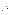performing the vendor-specified calibration procedure, the operator will analyze the blind sample (in three replicates). Due to restrictions, the contaminants will not be CWA, but will consist of a single or combination of the other target contaminants. The blind sample will challenge the identification capability of the library matching function of the mobile mass spectrometer software.

#### *B1.1.4 Operational Factors*

Operational factors such as maintenance needs, data output, consumables used, ease of use, repair requirements, sample throughput etc., will be evaluated based on observations recorded by Battelle staff. A separate laboratory record book will be maintained for each mobile mass spectrometer undergoing testing, and will be used to enter daily observations on these factors. Examples of information to be recorded in the record books include the status of diagnostic indicators for the mass spectrometer; use or replacement of any consumables; the effort or cost associated with maintenance or repair; vendor effort (e.g., time on site) for repair or maintenance; the duration and causes of any instrument down time or data acquisition failure; and operator observations about ease of use of the mobile mass spectrometer. These observations will be summarized to aid in describing mass spectrometer performance in the verification report on each mobile mass spectrometer.

The time required for each sample from the start of sample preparation to reporting of results will define sample time. The number of samples that can be analyzed per unit time will define sample throughput. The sample throughput will be noted for laboratory and field portions of testing. The test samples for the verification test are summarized in Table 7.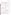| Table 7. Summary of Test Samples for ETV Test of Mobile Mass Spectrometers <sup>a</sup> |
|-----------------------------------------------------------------------------------------|
|-----------------------------------------------------------------------------------------|

| <b>Sample/Matrix</b>             | <b>Performance Factor</b>                    | <b>Sample Description</b>                                                                                                                          | <b>Reps</b> |
|----------------------------------|----------------------------------------------|----------------------------------------------------------------------------------------------------------------------------------------------------|-------------|
|                                  |                                              |                                                                                                                                                    |             |
|                                  |                                              | Blank ASTM Type II DI Water                                                                                                                        | 3           |
| Performance Test                 | Accuracy, Precision,                         | PT Standard 3                                                                                                                                      | 3           |
| (PT) standards/                  | Linearity, and<br><b>Operational Factors</b> | PT Standard 2                                                                                                                                      | 3           |
| <b>ASTM Type II DI</b><br>Water  |                                              | PT Standard 1                                                                                                                                      | 3           |
| PT Matrix                        | Sensitivity                                  | Successive 10x serials dilutions of PT Standard 1<br>will be analyzed until no change in instrument<br>response is observed for target contaminant | -1          |
| PT Matrix                        | <b>Instrument Stability</b>                  | PT Standard 2                                                                                                                                      | 3           |
| Matrix and Potential             | Matrix, Potential                            | DW1                                                                                                                                                | 3           |
| Interferent Samples/             | Interference Effect, and                     | DW <sub>2</sub>                                                                                                                                    | 3           |
| Drinking Water<br>(DW), Buffered | <b>Operational Factors</b>                   | DW3                                                                                                                                                | 3           |
| Water (442 Water),               | Matrices will be analyzed                    |                                                                                                                                                    |             |
| and ASTM Type II                 | as unfortified and                           | DW4                                                                                                                                                | 3           |
| DI Water                         | fortified (at PT standard 2                  | Weak Buffer Water (442-30)                                                                                                                         | 3           |
|                                  | level)                                       | Strong Buffer Water (442-3000)                                                                                                                     | 3           |
|                                  |                                              | THM Spiked Water (ASTM Type II Water)                                                                                                              | 3           |
| <b>Field Portability</b>         | Field Portability and                        | Raw Surface Water (collected from river) will be                                                                                                   |             |
| Sample/Raw Surface               | <b>Operational Factors</b>                   | spiked with target analyte from Table 2 and then                                                                                                   |             |
| Water; this sample               |                                              | submitted to the operator                                                                                                                          |             |
| will be "blind" to the           | Raw surface water will be                    |                                                                                                                                                    | 3           |
| operator                         | analyzed as unfortified                      |                                                                                                                                                    |             |
|                                  | and fortified                                |                                                                                                                                                    |             |

(a) Test samples will be analyzed for each target contaminant mix (BTEX, pesticides, CWAs) except for the field portability samples which will only be performed with one set of non-CWA blind samples.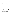#### **B1.2 Statistical Analysis**

The statistical methods and calculations used for evaluation of the quantitative performance parameters are described in the following sections.

#### *B1.2.1 Accuracy*

The accuracy of the mobile mass spectrometer measurements with respect to the reference measurements will be assessed as the percent recovery (%R), using Equation 1:

$$
\% R = \left(\overline{Y} \div \overline{X}\right) \times 100\tag{1}
$$

where  $\overline{Y}$  is the average concentration of the target contaminant as measured by the mobile mass spectrometer and  $\overline{X}$  is the target contaminant concentration as measured by the reference method. The ideal accuracy is 100%.

#### *B1.2.2 Precision*

The precision of the mobile mass spectrometers will be evaluated from complete measurements of the target contaminant (including three separate sample collections) performed in triplicate. The precision will be defined as the relative standard deviation (RSD) of the triplicate measurements:

$$
\% RSD = (s \div Y_i) \times 100 \tag{2}
$$

where  $\overline{Y}$  is the average concentration *i* of the target contaminant as measured by mobile mass spectrometer*,* and *s* the standard deviation of the mobile mass spectrometer results. The ideal relative standard deviation is 0%.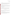#### *B1.2.3 Linearity*

Linearity of the analytical response will be assessed by a linear regression analysis using the target contaminant concentration as the independent variable and result from the mobile mass spectrometers being tested as the dependent variable. Linearity will be expressed in terms of slope, intercept, and coefficient of determination  $(r^2)$ . The ideal value for  $r^2$  is 1.

#### *B1.2.4 Sensitivity*

Sensitivity of the mobile mass spectrometers for the target contaminant will be determined by the ability of the instruments to detect at or below the concentrations of interest (see Table 2) in the different matrices including the PT matrix (ASTM Type II water), drinking water matrices, and potential interferent-fortified matrices.

#### *B1.2.5 Instrument Stability*

Instrument stability (S) will be determined by analyzing a PT standard at the end of the analytical sequence. The result of the PT standard will be compared to that of the PT standard analyzed at the start of the analytical sequence. Stability will be calculated using Equation 3:

$$
\% S_i = (Y_i 2 \div Y_i 1) \times 100 \tag{3}
$$

where Y*i*2 and Y*i*1 are the average results for the last and first PT standard, respectively, for target contaminant *i*. The length of the analytical sequence will be noted when reporting stability. The ideal value for S is 100%.

#### *B1.2.6 Potential Matrix and Interference Effects*

Potential matrix and interference effects will be assessed by comparison of the analytical results to those of the PT standards. In the absence of instrument drift and target contaminant degradation, it will be assumed that a matrix or interferent effect is responsible for any result with a lower accuracy and/or precision than that of the PT standards.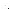Mobile Mass Spectrometers Test/QA Plan Page 28 of 42 Version 1 July 20, 2005

#### **B1.3 Reporting**

The statistical comparisons described above will be conducted separately for each of the mass spectrometers being tested, and information on the operational parameters will be compiled and reported. The data for each mass spectrometer will be kept separate from data for all other mass spectrometers, and no intercomparison of the mass spectrometer data will be performed at any time. A separate verification report will be prepared for each mass spectrometer tested that presents the test procedures and test data, as well as the results of the statistical evaluation of those data. Operational aspects of the mobile mass spectrometers will be recorded by testing staff at the time of observation during the field test, and summarized in the verification report. For example, descriptions of the data-acquisition procedures, use of vendor-supplied proprietary software, consumables used, repairs and maintenance needed, and the nature of any problems will be presented in the report. Each verification report will briefly describe the ETV program, the AMS Center, and the procedures used in the verification testing. The results of the verification test will be stated quantitatively, without comparison to any other mobile mass spectrometer tested, or comment on the acceptability of the instrument's performance. Each draft verification report will first be subjected to review by the respective mass spectrometer vendor, then revised and subjected to a review by EPA and other peer reviewers. The peer review comments will be addressed in further revisions of the report, and the peer review comments and responses will be tabulated to document the peer review process. The reporting and review process will be conducted according to the requirements of the AMS Center QMP.<sup>1</sup>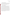Mobile Mass Spectrometers Test/QA Plan Page 29 of 42 Version 1 July 20, 2005

#### **B2 REFERENCE SAMPLE PREPARATION**

An aliquot of the PT standards will be submitted for reference measurement where and when applicable. If the sample volume requirement for the reference method exceeds what will be available after testing, a separate aliquot will be prepared using the same procedure. If a separate aliquot is prepared, it will be prepared as close in time as possible to the original sample to minimize any differences in rate of sample degradation in the matrix.

#### **B3 SAMPLE CUSTODY REQUIREMENTS**

Sample custody will be documented throughout collection, shipping, and analysis of the samples from the water utility to Battelle laboratories. Similar documentation will be recorded for shipping and analysis of samples to the subcontract laboratory. Sample chain-of-custody procedures will be in accordance with the Battelle SOP MDAS.I-009-Draft: Sample Chain-of-Custody<sup>11</sup>. The chain-of-custody form summarizes the samples collected and analyses requested. The chain-of-custody form will track sample release from the field to the Battelle laboratory, and from the Battelle laboratory to the subcontract laboratory. Each chain-of-custody form will be signed by the person relinquishing samples once that person has verified that the chain-of-custody form is accurate. The original sample chain-of-custody forms accompany the samples; the shipper will keep a copy. Upon receipt at the sample destination, chain-of-custody forms will be signed by the person receiving the samples once that person has verified that all samples identified on the chain-of-custody forms are present in the shipping container. Any discrepancies will be noted on the form and the sample receiver will immediately contact the Verification Test Coordinator to report missing, broken, or compromised samples.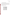Mobile Mass Spectrometers Test/QA Plan Page 30 of 42 Version 1 July 20, 2005

#### **B4 LABORATORY REFERENCE METHODS**

Laboratory reference methods (see Table 8) will be used to determine the accuracy of sample preparation, verify the accuracy of the mobile mass spectrometer measurements using the PT standards, and demonstrate the stability of the target contaminants in the PT matrix. These reference methods will be performed by Battelle or a subcontract laboratory. In all cases, the reference analyses will follow the quality control requirements specified in B5 in addition to any QC requirements specified in each reference method.

| <b>Contaminant</b> | <b>Reference Method</b>      |
|--------------------|------------------------------|
| VX                 | HMRC-IV-118-05 <sup>12</sup> |
| GB (sarin)         | HMRC-IV-118-05 <sup>12</sup> |
| GD (soman)         | HMRC-IV-118-05 <sup>12</sup> |
| dicrotophos        | U.S. EPA 8141 <sup>13</sup>  |
| $2,4-D$            | U.S. EPA 515.1 <sup>14</sup> |
| benzene            | U.S. EPA 524.2 <sup>9</sup>  |
| toluene            | U.S. EPA 524.2 <sup>9</sup>  |
| ethylbenzene       | U.S. EPA 524.2 $^{9}$        |
| xylenes (total)    | U.S. EPA 524.2 $^9$          |

#### **Table 8. Reference Methods for Target Contaminants**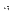# **B5 QUALITY CONTROL AUDITS AND REQUIREMENTS**

Steps will be taken to maintain the quality of the data collected during this verification test. Reference methods will be required to analyze the PT standards. QC for operation of the mobile mass spectrometers (e.g., daily mass tuning) will be specified by the vendor. Table 9 summarizes the quality control measures used during this test.

# **Table 9. Quality Control Measures**

| QC Measures                                                                                                                      | Addressed By                                                                                                       | <b>Required Performance</b>                                                | Corrective Action if<br><b>Requirements Not Met</b>                                                                                                                                                                                                                                                                                                       |
|----------------------------------------------------------------------------------------------------------------------------------|--------------------------------------------------------------------------------------------------------------------|----------------------------------------------------------------------------|-----------------------------------------------------------------------------------------------------------------------------------------------------------------------------------------------------------------------------------------------------------------------------------------------------------------------------------------------------------|
| Accuracy of Standard<br>Preparation                                                                                              | Performance test (PT)<br>standards prepared from<br>stock solutions will be<br>verified by reference<br>methods    | Results must agree within<br>+/- 20% of theoretical<br>concentration       | If results do not agree within<br>20% of theoretical<br>concentration, the<br>concentration as measured<br>by the reference method will<br>be used for linearity<br>calculations                                                                                                                                                                          |
| Absence of contaminant in<br>unfortified PT matrix (ASTM<br>Type II water)                                                       | Blank measurement; 10% of<br>reference measurements or<br>at least 1 for every 10<br>reference measurements        | Contaminants should be<br>less than reporting limit of<br>reference method | If target contaminant is<br>detected above the reporting<br>limit, blank subtraction of the<br>background contaminant<br>concentration will be<br>performed                                                                                                                                                                                               |
| Reproducibility of Reference<br><b>Measurement Value</b>                                                                         | Duplicate measurement;<br>10% of reference<br>measurements or at least 1<br>for every 10 reference<br>measurements | <b>Relative Percent</b><br>Difference (RPD) must be<br>within $+/- 15%$    | Duplicate analysis will be<br>repeated; if discrepancy still<br>exists, a deviation will be<br>issued and the result will be<br>noted in report                                                                                                                                                                                                           |
| Performance evaluation<br>(PE) samples will be<br>Accuracy of Reference<br>submitted for each<br>Measurement<br>reference method |                                                                                                                    | Result must agree within<br>+/- 20% of theoretical<br>concentration        | At least one PE sample will<br>be submitted for each<br>reference method before the<br>start of the verification<br>testing; if result does not<br>agree within 20% of the<br>theoretical concentration,<br>reference method will be<br>repeated; if discrepancy still<br>exists, a deviation will be<br>issued and the result will be<br>noted in report |
| <b>Operation of Mobile Mass</b><br>Spectrometers                                                                                 | Vendor-provided QC                                                                                                 | Defined by vendor                                                          | Defined by vendor                                                                                                                                                                                                                                                                                                                                         |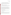#### **B6 INSTRUMENT TESTING, INSPECTION, AND MAINTENANCE**

The mobile mass spectrometers and associated equipment (e.g., SPME inlet) will be visually inspected before and after each day of testing for any wear and tear that may compromise performance. Maintenance procedures, as outlined by vendors, will be followed during the verification process.

#### **B7 INSTRUMENT CALIBRATION AND FREQUENCY**

The mobile mass spectrometers will be calibrated at least once each analytical sequence according to the vendors' instructions. Additional calibration will be performed as outlined by the vendor.

#### **B8 INSPECTION/ACCEPTANCE OF SUPPLIES AND CONSUMABLES**

All materials, supplies, and consumables will be ordered by the Verification Test Coordinator or designee. Where possible, Battelle will rely on sources of materials and consumables that have been used previously as part of ETV verification testing without problems. Battelle will also rely on previous experience or recommendations from EPA advisors, host facility staff, or mass spectrometer vendors. National Institute of Standards and Technology (NIST)-traceable materials will be utilized where and whenever possible.

#### **B9 NON-DIRECT MEASUREMENTS**

Data published previously in the scientific literature will not be used during this verification test.

#### **B10 DATA MANAGEMENT**

Various types of data will be acquired and recorded electronically or manually by Battelle staff during this verification test. Table 10 summarizes the types of data to be recorded. All maintenance activities, repairs, calibrations, and operator observations relevant to the operation of the mobile mass spectrometers will be documented by Battelle in laboratory record books. A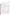separate record book will be provided for each participating mass spectrometer. Results from the laboratory reference method will be compiled in electronic format, and submitted to the Verification Test Coordinator in the form of a sample preparation and analysis report at the conclusion of reference analyses.

| Data to Be<br><b>Recorded</b>                                                                           | <b>Where Recorded</b>                                                            | <b>How Often</b><br><b>Recorded</b>                                                                               | <b>By Whom</b>                                  | <b>Disposition of Data</b>                                                                                   |
|---------------------------------------------------------------------------------------------------------|----------------------------------------------------------------------------------|-------------------------------------------------------------------------------------------------------------------|-------------------------------------------------|--------------------------------------------------------------------------------------------------------------|
| Dates, times, and<br>details of test<br>events, mass<br>spectrometer<br>maintenance,<br>down time, etc. | <b>ETV</b> laboratory<br>record books or data<br>recording forms                 | Start/end of test<br>procedure, and at<br>each change of a<br>test parameter or<br>change of<br>instrument status | <b>Battelle</b>                                 | Used to organize and<br>check test results:<br>manually incorporated<br>in data spreadsheets as<br>necessary |
| Mass<br>spectrometer<br>calibration<br>information                                                      | <b>ETV</b> laboratory<br>record books or<br>electronically                       | At instrument<br>calibration or<br>recalibration                                                                  | <b>Battelle</b>                                 | Incorporated in<br>verification report as<br>necessary                                                       |
| <b>Mass</b><br>spectrometer<br>readings                                                                 | Recorded<br>electronically by<br>each instrument and<br>then downloaded<br>daily | For each sample                                                                                                   | <b>Battelle</b>                                 | Converted to<br>spreadsheet for<br>statistical analysis and<br>comparisons                                   |
| Reference method<br>sample<br>preparation                                                               | Laboratory record<br>book                                                        | throughout sample<br>preparation                                                                                  | <b>Battelle</b>                                 | Used to demonstrate<br>validity of samples<br>submitted for reference<br>measurements                        |
| Reference method<br>procedures,<br>calibrations, QA,<br>etc.                                            | Laboratory record<br>books, or data<br>recording forms                           | Throughout<br>sampling and<br>analysis processes                                                                  | Battelle or<br>subcontract<br>laboratory        | Retained as<br>documentation of<br>reference method<br>performance                                           |
| Reference method<br>analysis results                                                                    | Electronically from<br>reference analytical<br>method                            | Every sample<br>analysis                                                                                          | <b>Battelle</b> or<br>subcontract<br>laboratory | Converted to<br>spreadsheets for<br>calculations                                                             |

|  |  |  | <b>Table 10. Summary of Data Recording Process</b> |
|--|--|--|----------------------------------------------------|
|--|--|--|----------------------------------------------------|

Records received by or generated by any Battelle staff during the verification test will be reviewed by a Battelle staff member within two weeks of generation or receipt, respectively, before the records are used to calculate, evaluate, or report verification results. If a Battelle staff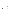Mobile Mass Spectrometers Test/QA Plan Page 34 of 42 Version 1 July 20, 2005

member generated the record, this review will be performed by a Battelle technical staff member involved in the verification test, but not the staff member who originally generated the record. The review will be documented by the person performing the review by adding his/her initials and date to the hard copy of the record being reviewed. In addition, any calculations performed by Battelle staff will be spot-checked by Battelle technical staff to ensure that calculations are performed correctly. Calculations to be checked include any statistical calculations described in this test/QA plan. The data obtained from this verification test will be compiled and reported independently for each mass spectrometer. Results for the mobile mass spectrometers from different vendors will not be compared with each other.

Among the QA activities conducted by Battelle QA staff will be an audit of data quality. This audit will consist of a review by the Battelle Quality Manager of at least 10% of the test data. During the course of any such audit, the Battelle Quality Manager will inform the technical staff of any findings and any immediate corrective action that should be taken. If serious data quality problems exist, the Battelle Quality Manager will request that Battelle's AMS Center Manager issue a stop work order. Once the assessment report has been prepared, the Verification Test Coordinator will ensure that a response is provided for each adverse finding or potential problem, and will implement any necessary follow-up corrective action. The Battelle Quality Manager will ensure that follow-up corrective action has been taken.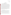Mobile Mass Spectrometers Test/QA Plan Page 35 of 42 Version 1 July 20, 2005

#### **SECTION C**

#### **ASSESSMENT AND OVERSIGHT**

#### **C1 ASSESSMENTS AND RESPONSE ACTIONS**

Every effort will be made in this verification test to anticipate and resolve potential problems before the quality of performance is compromised. One of the major objectives of this test/QA plan is to establish mechanisms necessary to ensure this. Internal quality control measures described in this test/QA plan, which is peer reviewed by a panel of outside experts, implemented by the technical staff and monitored by the Verification Test Coordinator, will give information on data quality on a day-to-day basis. The responsibility for interpreting the results of these checks and resolving any potential problems resides with the Verification Test Coordinator. Technical staff have the responsibility to identify problems that could affect data quality or the ability to use the data. Any problems that are identified will be reported to the Verification Test Coordinator, who will work with the Battelle Quality Manager to resolve any issues. Action will be taken to control the problem, identify a solution to the problem, and minimize losses and correct data, where possible. Independent of any EPA QA activities, Battelle will be responsible for ensuring that the following audits are conducted as part of this verification test.

#### **C1.1 Performance Evaluation Audits**

When possible, "blind" samples will be submitted to analysts performing the reference measurements. These performance evaluation (PE) samples will assess the accuracy of the reference measurements. These samples will prepared in accordance with the stated detection limits of the reference laboratories. At least one PE sample will be submitted per reference method prior to the start of the verification test and once during the verification test.

The results for the PE samples must be within  $\pm 20\%$  of the expected result. If the PE sample value is not within these limits, the PE sample measurement will be repeated. If the value of the repeated PE sample is outside of the acceptable range, the reference instrument will be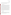recalibrated, and the PE will be reanalyzed (unless the operator identifies or suspects another cause for the failure). Continued failure of the PE measurement will result in discussion with the Verification Testing Leader and the data being flagged accordingly.

#### **C1.2 Technical Systems Audits**

The Battelle Quality Manager will perform a technical systems audit (TSA) at least once during this verification test. The purpose of this audit is to ensure that the verification test is being performed in accordance with the AMS Center QMP<sup>1</sup>, this test/QA plan, published reference methods, and any standard operating procedures (SOPs) used by Battelle. In the TSA, the Battelle Quality Manager or designee will review the reference methods used, compare actual test procedures to those specified or referenced in this plan, and review data acquisition and handling procedures. In the TSA, the Battelle Quality Manager will tour the test site, observe the reference method sample preparation and analysis, inspect documentation; and review instrument-specific record books. He will also check standard certifications and mass spectrometer data acquisition procedures, and may confer with the instrument vendors and other Battelle staff. A TSA report will be prepared, including a statement of findings and the actions taken to address any adverse findings. The EPA AMS Center Quality Manager will receive a copy of Battelle's TSA report. At EPA's discretion, EPA QA staff may also conduct an independent on-site TSA during the verification test. The TSA findings will be communicated to technical staff at the time of the audit and documented in a TSA report.

#### **C1.3 Data Quality Audits**

The Battelle Quality Manager or designee will audit at least 10% of the verification data acquired in the verification test. The Battelle Quality Manager will trace the data from initial acquisition, through reduction and statistical comparisons, to final reporting. All calculations performed on the data undergoing the audit will be checked.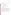# **C1.4 QA/QC Reporting**

Each assessment and audit will be documented in accordance with Section 3.3.4 of the AMS Center QMP.<sup>1</sup> The results of the TSA will be submitted to EPA. Assessment reports will include the following:

- C Identification of any adverse findings or potential problems
- C Response to adverse findings or potential problems
- C Recommendations for resolving problems
- C Confirmation that solutions have been implemented and are effective
- C Citation of any noteworthy practices that may be of use to others.

#### **C2 REPORTS TO MANAGEMENT**

The Battelle Quality Manager, during the course of any assessment or audit, will identify to the technical staff performing experimental activities any immediate corrective action that should be taken. If serious quality problems exist, the Battelle Quality Manager is authorized to request that Battelle's AMS Center Manager issue a stop work order. Once the assessment report has been prepared, the Verification Test Coordinator will ensure that a response is provided for each adverse finding or potential problem and will implement any necessary follow-up corrective action. The Battelle Quality Manager will ensure that follow-up corrective action has been taken. The test/QA plan and final report are reviewed by EPA AMS Center QA staff and EPA AMS Center program management staff. Upon final review and approval, both documents will then be posted on the ETV website (www.epa.gov/etv).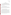Mobile Mass Spectrometers Test/QA Plan Page 38 of 42 Version 1 July 20, 2005

#### **SECTION D**

#### **DATA VALIDATION AND USABILITY**

#### **D1 DATA REVIEW, VALIDATION, AND VERIFICATION REQUIREMENTS**

The key data review requirements for the verification test are stated in Section B10 of this test/QA plan. All data generated will be reviewed on a daily basis for accuracy and completion. The QA audits described within Section C of this document, including the audit of data quality, are designed to assure the quality of the data.

#### **D2 VALIDATION AND VERIFICATION METHODS**

Section C of this test/QA plan provides a description of the validation safeguards employed for this verification test. Data validation and verification efforts include the analysis of QC samples as required in this document, and the performance of TSA and PE audits as described in Section C.

#### **D3 RECONCILIATION WITH USER REQUIREMENTS**

This test/QA plan and the resulting ETV verification report(s) will be subjected to review by the mobile mass spectrometer vendors, EPA, and expert peer reviewers. These reviews will assure that this test/QA plan and the resulting verification report(s) meet the needs of potential users of mobile mass spectrometers. Performance data for the mobile mass spectrometers, collected under conditions where the quality control requirements shown in Table 8 were met, will be presented in the final verification report without any further comment. Performance data and reference measurements that do not meet these criteria will be noted and a discussion of the possible impact of the failed requirements on the performance evaluation will be presented in the final verification report. The final verification report(s) will be submitted to EPA in Word Perfect and Adobe pdf format and subsequently posted on the ETV website.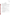#### **SECTION E**

#### **HEALTH AND SAFETY**

#### **E1 STANDARD/ TEST SAMPLE PREPARATION**

With the exception of field testing, all handling of solid materials and highly concentrated aqueous solutions of target contaminants and potential interferents will be performed inside of a laboratory hood with hood sash set to the lowest height that still allows for safe manipulation of materials. The following guidelines should be adhered to:

- C Personal protective equipment shall include safety glasses with side shields, a laboratory coat and nitrile lab gloves. Gloves shall be immediately changed if they become contaminated.
- C All contaminated waste shall be handled as hazardous waste and sent out through Battelle Waste Operations.

# **E2 SAMPLE HANDLING DURING VERIFICATION TEST**

Laboratory and field handling of any samples used during the verification test will be accomplished by taking the following precautions:

- C All containers shall be stored and transported in double containment.
- C Safety glasses, nitrile gloves with long cuffs, and a chemical resistant disposable lab coat shall be worn when handling either chemical. Gloves shall be immediately changed if they become contaminated.

# **E3 TESTING WITH GB, GD, and VX**

Verification activities using these CWA will be performed at the HMRC following their internal SOPs for handling and using CWA.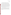# **E4 DECONTAMINATION of INSTRUMENTS AFTER CWA TESTING**

The return of part or all of the verified instruments is based on current U.S. Army guidelines (which is subject to change). After testing with CWA has been completed, the decontamination of the mobile mass spectrometers will be performed according to HMRC SOP III-007-0716. All consumables (e.g., column, inlet liner) that come into contact with liquid CWA or long-term vapor contamination of CWA will be discarded. While all components of the mobile mass spectrometers and associated equipment (including those used in sample preparation) that are in the direct flow path of the dilute agent solution or vapor will be considered for decontamination, an effort to maintain the integrity of the non-consumable parts of the mobile mass spectrometers will be made to the extent allowable by the SOP or the HMRC Bailment Agreement. For example, the detector will not be initially removed from the instrument since the mass spectrometer effectively destroys the CWA during routine analysis.

After removing consumables, the instrument will be bagged or contained for a minimum of 4 hours at 70EF or above. Testing will be conducted to ensure that vapor concentrations of CWA do not exist above the Worker Population Limit (WPL) for each agent inside the bag. If concentrations for CWA in the bag exceed the WPL, the mobile mass spectrometers may be further disassembled and tested until the subject instrument can satisfy the threshold and safely be returned to the vendor.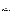#### **SECTION F**

#### **REFERENCES**

- 1. Quality Management Plan for the ETV Advanced Monitoring Systems Center, Version 5.0, U.S. EPA Environmental Technology Verification Program, Battelle, Columbus, Ohio, March 2004.
- 2. Environmental Technology Verification Program Quality Management Plan, EPA/600/R-03/021, U.S. Environmental Protection Agency, Cincinnati, Ohio, December 2002.
- 3. Chemical Surety, United States Army Regulation, AR50-6, June 26, 2001.
- 4. Battelle Chemical Safety Information Program, Safety and Industrial Hygiene Manual (SIH-PP-005), September 24, 2004.
- 5. Hazardous Materials Research Center (HMRC) Chemical Hygiene Plan, March 2005.
- 6. EPA Method 180.1. Turbidity (Nephelometric), Methods for the Determination of Inorganic Substances in Environmental Samples EPA-600-R-93-100. 1993.
- 7. American Public Health Association, et al. Standard Methods for Examination of Water and Wastewater. 19<sup>th</sup> Edition. 1997. Washington D.C.
- 8. EPA 600/4-79-020. Methods for Chemical Analysis of Water and Wastes. March 1983.
- 9. EPA 600/R-95-131. EPA Method 524.2. Purgeable Organic Compounds by Capillary Column GC/Mass Spectrometry. Methods for Determination of Organic Compounds in Drinking Water, Supplement III. August 1995.
- 10. EPA 600//R-95-131. EPA Method 552.2. Haloacetic Acids and Dalapon by Liquid-Liquid Extraction, Derivatization and GC with Electron Capture Detector. Methods for the Determination of Organic Compounds in Drinking Water, Supplement III. August 1995.
- 11. Battelle SOP MDAS.I-009-Draft, Sample Chain-of-Custody.